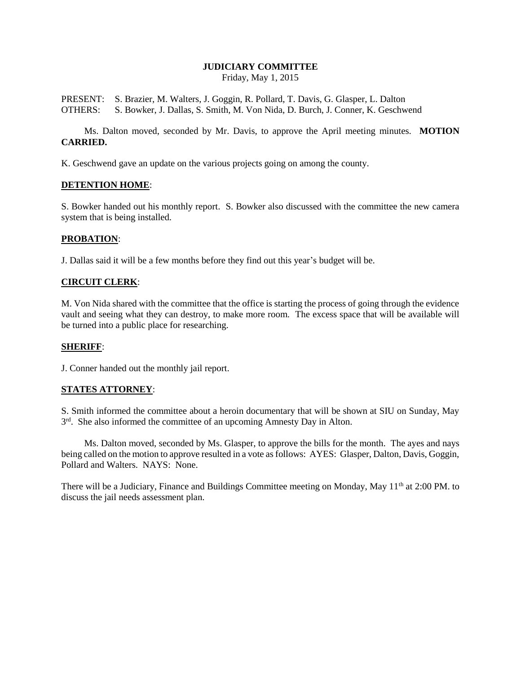# **JUDICIARY COMMITTEE**

Friday, May 1, 2015

PRESENT: S. Brazier, M. Walters, J. Goggin, R. Pollard, T. Davis, G. Glasper, L. Dalton OTHERS: S. Bowker, J. Dallas, S. Smith, M. Von Nida, D. Burch, J. Conner, K. Geschwend

Ms. Dalton moved, seconded by Mr. Davis, to approve the April meeting minutes. **MOTION CARRIED.**

K. Geschwend gave an update on the various projects going on among the county.

## **DETENTION HOME**:

S. Bowker handed out his monthly report. S. Bowker also discussed with the committee the new camera system that is being installed.

## **PROBATION**:

J. Dallas said it will be a few months before they find out this year's budget will be.

## **CIRCUIT CLERK**:

M. Von Nida shared with the committee that the office is starting the process of going through the evidence vault and seeing what they can destroy, to make more room. The excess space that will be available will be turned into a public place for researching.

# **SHERIFF**:

J. Conner handed out the monthly jail report.

# **STATES ATTORNEY**:

S. Smith informed the committee about a heroin documentary that will be shown at SIU on Sunday, May 3<sup>rd</sup>. She also informed the committee of an upcoming Amnesty Day in Alton.

Ms. Dalton moved, seconded by Ms. Glasper, to approve the bills for the month. The ayes and nays being called on the motion to approve resulted in a vote as follows: AYES: Glasper, Dalton, Davis, Goggin, Pollard and Walters. NAYS: None.

There will be a Judiciary, Finance and Buildings Committee meeting on Monday, May 11<sup>th</sup> at 2:00 PM. to discuss the jail needs assessment plan.